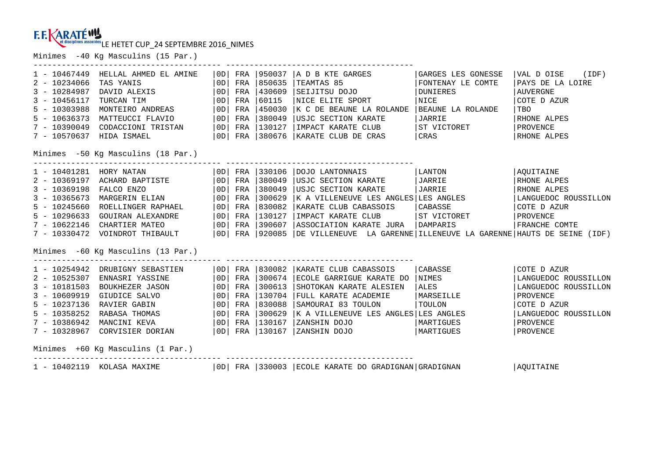Minimes -40 Kg Masculins (15 Par.)

| $1 - 10467449$<br>$2 - 10234066$<br>$3 - 10284987$<br>$3 - 10456117$<br>$5 - 10303988$<br>$5 - 10636373$<br>7 - 10390049<br>7 - 10570637 | HELLAL AHMED EL AMINE<br>TAS YANIS<br>DAVID ALEXIS<br>TURCAN TIM<br>MONTEIRO ANDREAS<br>MATTEUCCI FLAVIO<br>CODACCIONI TRISTAN<br>HIDA ISMAEL                                                                                                                                                  | OD <br> OD <br> OD <br> OD <br> OD | FRA     | FRA 1850635<br>FRA 1430609<br>60115<br>FRA 1450030<br>FRA 1380049<br>$ 0D $ FRA $ 130127$ | OD   FRA   950037   A D B KTE GARGES<br>TEAMTAS 85<br>SEIJITSU DOJO<br>NICE ELITE SPORT<br>K C DE BEAUNE LA ROLANDE<br>USJC SECTION KARATE<br>  IMPACT KARATE CLUB   ST VICTORET<br>$\vert$ OD $\vert$ FRA $\vert$ 380676 $\vert$ KARATE CLUB DE CRAS $\vert$ CRAS                                                                                                                                         | GARGES LES GONESSE<br>FONTENAY LE COMTE<br>DUNIERES<br>NICE<br>BEAUNE LA ROLANDE<br>JARRIE | $ VAL\ D$ OISE $(IDF)$<br>PAYS DE LA LOIRE<br>  AUVERGNE<br>COTE D AZUR<br>TBO<br>RHONE ALPES<br>PROVENCE<br>RHONE ALPES                 |
|------------------------------------------------------------------------------------------------------------------------------------------|------------------------------------------------------------------------------------------------------------------------------------------------------------------------------------------------------------------------------------------------------------------------------------------------|------------------------------------|---------|-------------------------------------------------------------------------------------------|------------------------------------------------------------------------------------------------------------------------------------------------------------------------------------------------------------------------------------------------------------------------------------------------------------------------------------------------------------------------------------------------------------|--------------------------------------------------------------------------------------------|------------------------------------------------------------------------------------------------------------------------------------------|
|                                                                                                                                          | Minimes -50 Kg Masculins (18 Par.)                                                                                                                                                                                                                                                             |                                    |         |                                                                                           |                                                                                                                                                                                                                                                                                                                                                                                                            |                                                                                            |                                                                                                                                          |
| 1 - 10401281 HORY NATAN<br>$3 - 10369198$<br>$3 - 10365673$<br>$5 - 10245660$                                                            | 2 - 10369197 ACHARD BAPTISTE<br>$\begin{array}{c c c c c c} \hline \text{OD} & \text{FRA} & \text{380049} \end{array}$<br>FALCO ENZO<br>MARGERIN ELIAN   OD   FRA<br>ROELLINGER RAPHAEL<br>5 - 10296633 GOUIRAN ALEXANDRE<br>7 - 10622146 CHARTIER MATEO<br>Minimes -60 Kg Masculins (13 Par.) |                                    |         | $ 0D $ FRA $ 380049$<br>300629<br>$ 0D $ FRA $ 830082$<br>$ 0D $ FRA $ 130127$            | OD FRA 330106 DOJO LANTONNAIS<br>USJC SECTION KARATE   JARRIE<br>USJC SECTION KARATE   JARRIE<br>K A VILLENEUVE LES ANGLES LES ANGLES<br>  KARATE CLUB CABASSOIS   CABASSE<br>IMPACT KARATE CLUB   ST VICTORET<br>  0D   FRA   390607   ASSOCIATION KARATE JURA   DAMPARIS<br>7 - 10330472 VOINDROT THIBAULT   0D   FRA   920085   DE VILLENEUVE LA GARENNE   ILLENEUVE LA GARENNE   HAUTS DE SEINE (IDF)  | LANTON                                                                                     | AQUITAINE<br>RHONE ALPES<br>RHONE ALPES<br>LANGUEDOC ROUSSILLON<br>COTE D AZUR<br>PROVENCE<br>FRANCHE COMTE                              |
| $3 - 10181503$<br>$3 - 10609919$<br>$5 - 10237136$<br>$5 - 10358252$<br>$7 - 10386942$                                                   | GIUDICE SALVO   OD   FRA<br>RAVIER GABIN<br>RABASA THOMAS<br>MANCINI KEVA<br>7 - 10328967 CORVISIER DORIAN   OD   FRA   130167   ZANSHIN DOJO<br>Minimes +60 Kg Masculins (1 Par.)                                                                                                             |                                    | OD  FRA |                                                                                           | 1 - 10254942 DRUBIGNY SEBASTIEN   OD  FRA   830082   KARATE CLUB CABASSOIS   CABASSE<br>2 - 10525307 ENNASRI YASSINE   OD  FRA   300674   ECOLE GARRIGUE KARATE DO   NIMES<br>BOUKHEZER JASON   OD   FRA   300613   SHOTOKAN KARATE ALESIEN<br>130704 FULL KARATE ACADEMIE<br>830088 SAMOURAI 83 TOULON<br>$ 0D $ FRA $ 300629 $ K A VILLENEUVE LES ANGLES LES ANGLES<br>  OD  FRA   130167   ZANSHIN DOJO | ALES<br>MARSEILLE<br>  TOULON<br>  MARTIGUES<br>MARTIGUES                                  | COTE D AZUR<br>LANGUEDOC ROUSSILLON<br>LANGUEDOC ROUSSILLON<br>  PROVENCE<br>COTE D AZUR<br>LANGUEDOC ROUSSILLON<br>PROVENCE<br>PROVENCE |
|                                                                                                                                          |                                                                                                                                                                                                                                                                                                |                                    |         |                                                                                           | 1 - 10402119 KOLASA MAXIME   0D   FRA   330003   ECOLE KARATE DO GRADIGNAN   GRADIGNAN                                                                                                                                                                                                                                                                                                                     |                                                                                            | AQUITAINE                                                                                                                                |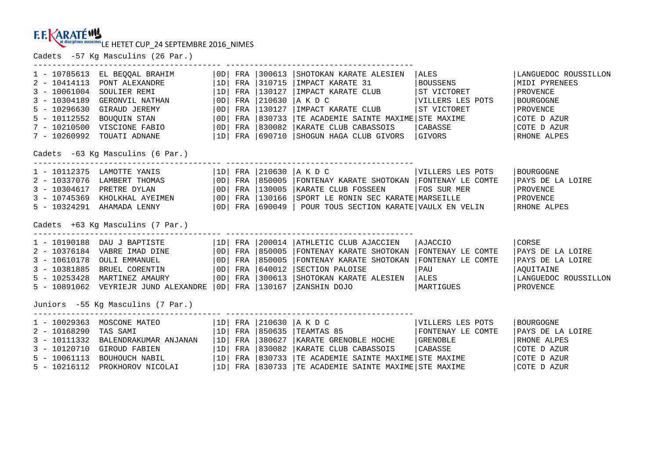Cadets -57 Kg Masculins (26 Par.)

| 1 - 10785613                      | EL BEQQAL BRAHIM                                                                                                                                                                             | OD | FRA | 300613          | SHOTOKAN KARATE ALESIEN                                                                                                                                                                                                             | <b>ALES</b>        | LANGUEDOC ROUSSILLON |  |  |
|-----------------------------------|----------------------------------------------------------------------------------------------------------------------------------------------------------------------------------------------|----|-----|-----------------|-------------------------------------------------------------------------------------------------------------------------------------------------------------------------------------------------------------------------------------|--------------------|----------------------|--|--|
| $2 - 10414113$                    | PONT ALEXANDRE                                                                                                                                                                               | 1D | FRA | 310715          | IMPACT KARATE 31                                                                                                                                                                                                                    | BOUSSENS           | MIDI PYRENEES        |  |  |
| $3 - 10061004$                    | SOULIER REMI                                                                                                                                                                                 | 1D | FRA | 130127          | IMPACT KARATE CLUB                                                                                                                                                                                                                  | ST VICTORET        | PROVENCE             |  |  |
| $3 - 10304189$                    | GERONVIL NATHAN                                                                                                                                                                              | 0D | FRA | 210630          | AKDC                                                                                                                                                                                                                                | VILLERS LES POTS   | BOURGOGNE            |  |  |
| $5 - 10296630$                    | GIRAUD JEREMY                                                                                                                                                                                | OD | FRA | 130127          | IMPACT KARATE CLUB                                                                                                                                                                                                                  | ST VICTORET        | PROVENCE             |  |  |
| $5 - 10112552$                    | BOUQUIN STAN $ 0D $ FRA $ 830733$<br>VISCIONE FABIO $ 0D $ FRA $ 830082$                                                                                                                     |    |     |                 | TE ACADEMIE SAINTE MAXIME STE MAXIME                                                                                                                                                                                                |                    | COTE D AZUR          |  |  |
| $7 - 10210500$                    |                                                                                                                                                                                              |    |     |                 | KARATE CLUB CABASSOIS                                                                                                                                                                                                               | CABASSE <b>ALC</b> | COTE D AZUR          |  |  |
| 7 - 10260992                      | TOUATI ADNANE                                                                                                                                                                                |    |     | 1D  FRA  690710 | SHOGUN HAGA CLUB GIVORS GIVORS                                                                                                                                                                                                      |                    | RHONE ALPES          |  |  |
| Cadets -63 Kg Masculins (6 Par.)  |                                                                                                                                                                                              |    |     |                 |                                                                                                                                                                                                                                     |                    |                      |  |  |
|                                   | -----------------------------------<br>$1 - 10112375$ LAMOTTE YANIS $ 1D $ FRA 210630 A K D C                                                                                                |    |     |                 | --------------------------------------                                                                                                                                                                                              | VILLERS LES POTS   | BOURGOGNE            |  |  |
|                                   |                                                                                                                                                                                              |    |     |                 |                                                                                                                                                                                                                                     |                    | PAYS DE LA LOIRE     |  |  |
|                                   |                                                                                                                                                                                              |    |     |                 |                                                                                                                                                                                                                                     |                    | PROVENCE             |  |  |
|                                   |                                                                                                                                                                                              |    |     |                 |                                                                                                                                                                                                                                     |                    | PROVENCE             |  |  |
|                                   |                                                                                                                                                                                              |    |     |                 | 2 - 10337076 LAMBERT THOMAS (OD) FRA 850005 FONTENAY KARATE SHOTOKAN FONTENAY LE COMTE<br>3 - 10304617 PRETRE DYLAN (OD) FRA 130005 KARATE CLUB FOSSEEN FOS SUR MER<br>3 - 10745369 KHOLKHAL AYEIMEN (OD) FRA 130166 SPORT LE RONIN |                    | RHONE ALPES          |  |  |
|                                   | Cadets +63 Kg Masculins (7 Par.)                                                                                                                                                             |    |     |                 |                                                                                                                                                                                                                                     |                    |                      |  |  |
|                                   | 1 - 10190188 DAU J BAPTISTE   1D   FRA   200014   ATHLETIC CLUB AJACCIEN                                                                                                                     |    |     |                 |                                                                                                                                                                                                                                     | AJACCIO            | <b>CORSE</b>         |  |  |
|                                   | 2 - 10376184 VABRE IMAD DINE $\begin{vmatrix} 0 & p & p \ 0 & p & R \end{vmatrix}$ FRA 850005<br>3 - 10610178 OULI EMMANUEL $\begin{vmatrix} 0 & p & p \ 0 & p & R \end{vmatrix}$ FRA 850005 |    |     |                 | FONTENAY KARATE SHOTOKAN FONTENAY LE COMTE                                                                                                                                                                                          |                    | PAYS DE LA LOIRE     |  |  |
|                                   |                                                                                                                                                                                              |    |     |                 | FONTENAY KARATE SHOTOKAN FONTENAY LE COMTE                                                                                                                                                                                          |                    | PAYS DE LA LOIRE     |  |  |
| $3 - 10381885$                    | BRUEL CORENTIN   OD  FRA   640012                                                                                                                                                            |    |     |                 | SECTION PALOISE                                                                                                                                                                                                                     | <b>PAU</b>         | AOUITAINE            |  |  |
| $5 - 10253428$                    | MARTINEZ AMAURY                                                                                                                                                                              | OD |     | FRA 1300613     | SHOTOKAN KARATE ALESIEN                                                                                                                                                                                                             | ALES               | LANGUEDOC ROUSSILLON |  |  |
|                                   | 5 - 10891062 VEYRIEJR JUND ALEXANDRE   0D   FRA   130167                                                                                                                                     |    |     |                 | ZANSHIN DOJO                                                                                                                                                                                                                        | MARTIGUES          | PROVENCE             |  |  |
| Juniors -55 Kg Masculins (7 Par.) |                                                                                                                                                                                              |    |     |                 |                                                                                                                                                                                                                                     |                    |                      |  |  |
|                                   | $1 - 10029363$ MOSCONE MATEO $ 1D $                                                                                                                                                          |    |     |                 | FRA 210630 A K D C                                                                                                                                                                                                                  | VILLERS LES POTS   | BOURGOGNE            |  |  |
| $2 - 10168290$                    | TAS SAMI                                                                                                                                                                                     | 1D |     | FRA 850635      | TEAMTAS 85                                                                                                                                                                                                                          | FONTENAY LE COMTE  | PAYS DE LA LOIRE     |  |  |
| $3 - 10111332$                    | BALENDRAKUMAR ANJANAN   1D                                                                                                                                                                   |    | FRA | 380627          | KARATE GRENOBLE HOCHE   GRENOBLE                                                                                                                                                                                                    |                    | RHONE ALPES          |  |  |
| $3 - 10120710$                    |                                                                                                                                                                                              |    | FRA | 830082          | KARATE CLUB CABASSOIS                                                                                                                                                                                                               | <b>CABASSE</b>     | COTE D AZUR          |  |  |
| $5 - 10061113$                    | GIROUD FABIEN   1D <br>BOUHOUCH NABIL   1D <br>PROKHOROV NICOLAI   1D                                                                                                                        |    |     | FRA 830733      | TE ACADEMIE SAINTE MAXIME STE MAXIME                                                                                                                                                                                                |                    | COTE D AZUR          |  |  |
| $5 - 10216112$                    |                                                                                                                                                                                              |    |     | FRA 1830733     | TE ACADEMIE SAINTE MAXIME STE MAXIME                                                                                                                                                                                                |                    | COTE D AZUR          |  |  |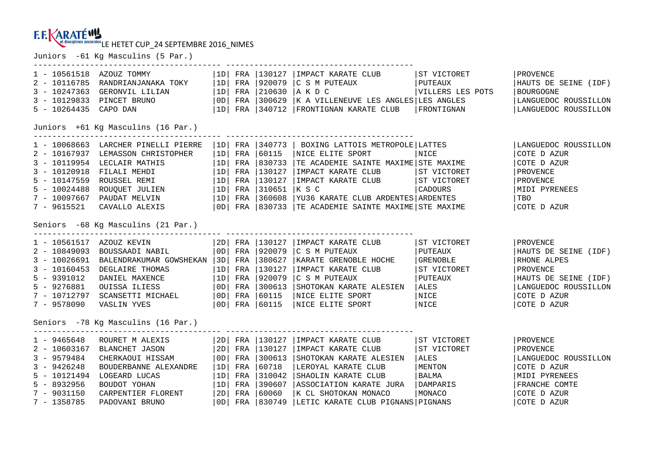Juniors -61 Kg Masculins (5 Par.) ---------------------------------------- ----------------------------------------

| $1 - 10561518$<br>$2 - 10116785$<br>$3 - 10247363$<br>$3 - 10129833$<br>$5 - 10264435$                                            | AZOUZ TOMMY<br>RANDRIANJANAKA TOKY<br>GERONVIL LILIAN<br>PINCET BRUNO<br>CAPO DAN                                                                                                                         | 1D  <br>l 1d l<br> 1D <br> OD <br> 1D                 | FRA<br>FRA<br>FRA               | 130127<br>920079<br>210630<br>FRA 1300629                                                             | IMPACT KARATE CLUB<br>C S M PUTEAUX<br>IA K D C<br>K A VILLENEUVE LES ANGLES LES ANGLES<br>FRA   340712   FRONTIGNAN KARATE CLUB                                       | ST VICTORET<br>  PUTEAUX<br>VILLERS LES POTS<br>  FRONTIGNAN                              | PROVENCE<br>HAUTS DE SEINE (IDF)<br>BOURGOGNE<br>LANGUEDOC ROUSSILLON<br>LANGUEDOC ROUSSILLON                                             |  |  |  |  |
|-----------------------------------------------------------------------------------------------------------------------------------|-----------------------------------------------------------------------------------------------------------------------------------------------------------------------------------------------------------|-------------------------------------------------------|---------------------------------|-------------------------------------------------------------------------------------------------------|------------------------------------------------------------------------------------------------------------------------------------------------------------------------|-------------------------------------------------------------------------------------------|-------------------------------------------------------------------------------------------------------------------------------------------|--|--|--|--|
|                                                                                                                                   | Juniors +61 Kg Masculins (16 Par.)                                                                                                                                                                        |                                                       |                                 |                                                                                                       |                                                                                                                                                                        |                                                                                           |                                                                                                                                           |  |  |  |  |
| $3 - 10120918$<br>$5 - 10147559$<br>$5 - 10024488$<br>7 - 9615521                                                                 | 1 - 10068663 LARCHER PINELLI PIERRE<br>2 - 10167937 LEMASSON CHRISTOPHER<br>3 - 10119954 LECLAIR MATHIS<br>FILALI MEHDI<br>ROUSSEL REMI<br>ROUQUET JULIEN<br>7 - 10097667 PAUDAT MELVIN<br>CAVALLO ALEXIS | 1D <br>  1D  <br>  1D                                 |                                 | FRA 1340773<br>FRA 60115<br>FRA 1830733                                                               | BOXING LATTOIS METROPOLE LATTES<br>NICE ELITE SPORT<br>TE ACADEMIE SAINTE MAXIME STE MAXIME                                                                            | NICE                                                                                      | LANGUEDOC ROUSSILLON<br>COTE D AZUR<br>COTE D AZUR<br>PROVENCE<br>PROVENCE<br>MIDI PYRENEES<br>  TBO<br>COTE D AZUR                       |  |  |  |  |
| Seniors -68 Kg Masculins (21 Par.)                                                                                                |                                                                                                                                                                                                           |                                                       |                                 |                                                                                                       |                                                                                                                                                                        |                                                                                           |                                                                                                                                           |  |  |  |  |
| 1 - 10561517 AZOUZ KEVIN<br>$2 - 10849093$<br>$3 - 10026691$<br>$3 - 10160453$<br>$5 - 9391012$<br>$5 - 9276881$<br>$7 - 9578090$ | BOUSSAADI NABIL<br>BALENDRAKUMAR GOWSHEKAN   3D  <br>DEGLAIRE THOMAS<br>DANIEL MAXENCE<br>OUISSA ILIESS<br>7 - 10712797 SCANSETTI MICHAEL<br>VASLIN YVES                                                  | OD  <br>1D<br>  1D  <br>  OD  <br>  OD  <br>  OD      | FRA<br>FRA<br>FRA<br>FRA        | 2D   FRA   130127<br>FRA 920079<br>FRA 380627<br>130127<br> 920079<br> 300613<br> 60115<br>FRA 160115 | IMPACT KARATE CLUB<br>C S M PUTEAUX<br>KARATE GRENOBLE HOCHE<br>IMPACT KARATE CLUB<br>C S M PUTEAUX<br>SHOTOKAN KARATE ALESIEN<br>NICE ELITE SPORT<br>NICE ELITE SPORT | ST VICTORET<br>  PUTEAUX<br>GRENOBLE<br> ST VICTORET<br>  PUTEAUX<br>ALES<br>NICE<br>NICE | PROVENCE<br>HAUTS DE SEINE (IDF)<br>RHONE ALPES<br>PROVENCE<br>HAUTS DE SEINE (IDF)<br>LANGUEDOC ROUSSILLON<br>COTE D AZUR<br>COTE D AZUR |  |  |  |  |
|                                                                                                                                   | Seniors -78 Kg Masculins (16 Par.)                                                                                                                                                                        |                                                       |                                 |                                                                                                       |                                                                                                                                                                        |                                                                                           |                                                                                                                                           |  |  |  |  |
| $1 - 9465648$<br>$2 - 10603167$<br>$3 - 9579484$<br>$3 - 9426248$<br>$5 - 10121494$<br>$5 - 8932956$<br>$7 - 9031150$             | ROURET M ALEXIS<br>BLANCHET JASON<br>CHERKAOUI HISSAM<br>BOUDERBANNE ALEXANDRE<br>LOGEARD LUCAS<br>BOUDOT YOHAN<br>CARPENTIER FLORENT                                                                     | 2D <br>  2D  <br> OD <br>1D<br>  1D  <br>  1D  <br>2D | FRA<br>FRA<br>FRA<br>FRA<br>FRA | FRA 130127<br>FRA 130127<br>300613<br>60718<br>310042<br> 390607<br>60060                             | IMPACT KARATE CLUB<br>IMPACT KARATE CLUB<br>SHOTOKAN KARATE ALESIEN<br>LEROYAL KARATE CLUB<br>SHAOLIN KARATE CLUB<br>ASSOCIATION KARATE JURA<br>K CL SHOTOKAN MONACO   | ST VICTORET<br> ST VICTORET<br>  ALES<br>MENTON<br>  BALMA<br> DAMPARIS<br>MONACO         | PROVENCE<br>PROVENCE<br>LANGUEDOC ROUSSILLON<br>COTE D AZUR<br>MIDI PYRENEES<br>FRANCHE COMTE<br>COTE D AZUR                              |  |  |  |  |
| $7 - 1358785$                                                                                                                     | PADOVANI BRUNO                                                                                                                                                                                            | OD                                                    |                                 | FRA 1830749                                                                                           | LETIC KARATE CLUB PIGNANS PIGNANS                                                                                                                                      |                                                                                           | COTE D AZUR                                                                                                                               |  |  |  |  |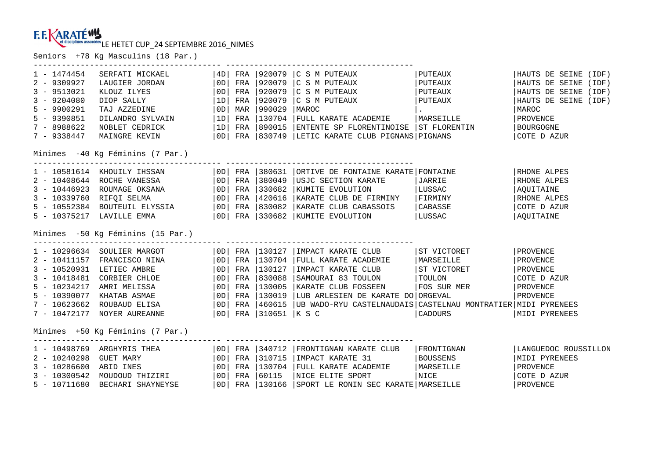Seniors +78 Kg Masculins (18 Par.)

| $1 - 1474454$<br>$2 - 9309927$<br>$3 - 9513021$<br>$3 - 9204080$<br>$5 - 9900291$<br>$5 - 9390851$<br>$7 - 8988622$<br>$7 - 9338447$ | SERFATI MICKAEL<br>LAUGIER JORDAN<br>KLOUZ ILYES<br>DIOP SALLY<br>TAJ AZZEDINE<br>DILANDRO SYLVAIN<br>NOBLET CEDRICK<br>MAINGRE KEVIN<br>Minimes -40 Kg Féminins (7 Par.)                                                                                       | OD <br> 1D <br> OD <br> 1D | OD  FRA<br>FRA<br>FRA<br>MAR<br>FRA | 920079<br>920079<br>920079<br>$ 990029\rangle$<br>130704<br>$ 1D $ FRA $ 890015$                                               | $ 4D $ FRA $ 920079 C S M PUTEAUX$<br>C S M PUTEAUX<br>C S M PUTEAUX<br>C S M PUTEAUX<br>  MAROC<br>FULL KARATE ACADEMIE<br>ENTENTE SP FLORENTINOISE ST FLORENTIN<br>  OD   FRA   830749   LETIC KARATE CLUB PIGNANS   PIGNANS   | PUTEAUX<br>  PUTEAUX<br>PUTEAUX<br>  PUTEAUX<br>MARSEILLE                       | HAUTS DE SEINE (IDF)<br>HAUTS DE SEINE (IDF)<br>HAUTS DE SEINE (IDF)<br>HAUTS DE SEINE (IDF)<br>MAROC<br>PROVENCE<br>BOURGOGNE<br>COTE D AZUR |
|--------------------------------------------------------------------------------------------------------------------------------------|-----------------------------------------------------------------------------------------------------------------------------------------------------------------------------------------------------------------------------------------------------------------|----------------------------|-------------------------------------|--------------------------------------------------------------------------------------------------------------------------------|----------------------------------------------------------------------------------------------------------------------------------------------------------------------------------------------------------------------------------|---------------------------------------------------------------------------------|-----------------------------------------------------------------------------------------------------------------------------------------------|
| $3 - 10446923$<br>$3 - 10339760$<br>5 - 10552384                                                                                     | 1 - 10581614 KHOUILY IHSSAN<br>2 - 10408644 ROCHE VANESSA   OD  FRA   380049<br>ROUMAGE OKSANA   0D   FRA   330682<br>RIFQI SELMA   0D   FRA   420616<br>BOUTEUIL ELYSSIA   OD   FRA   830082<br>5 - 10375217 LAVILLE EMMA<br>Minimes -50 Kg Féminins (15 Par.) |                            |                                     |                                                                                                                                | $\vert$ OD $\vert$ FRA $\vert$ 380631 $\vert$ ORTIVE DE FONTAINE KARATE FONTAINE<br>USJC SECTION KARATE<br>KUMITE EVOLUTION<br>KARATE CLUB DE FIRMINY<br>KARATE CLUB CABASSOIS<br>OD FRA 330682 KUMITE EVOLUTION                 | JARRIE<br>LUSSAC<br>  FIRMINY<br>  CABASSE<br>LUSSAC                            | RHONE ALPES<br>RHONE ALPES<br>AQUITAINE<br>RHONE ALPES<br>COTE D AZUR<br>AQUITAINE                                                            |
| $2 - 10411157$<br>$3 - 10520931$<br>$3 - 10418481$<br>$5 - 10234217$<br>$5 - 10390077$<br>$7 - 10623662$<br>$7 - 10472177$           | 1 - 10296634 SOULIER MARGOT<br>FRANCISCO NINA<br>LETIEC AMBRE<br>CORBIER CHLOE<br>AMRI MELISSA<br>KHATAB ASMAE<br>ROUBAUD ELISA<br>NOYER AUREANNE<br>Minimes +50 Kq Féminins (7 Par.)                                                                           | OD <br> OD <br> OD <br> OD |                                     | OD  FRA  130704<br>FRA 130127<br>FRA 830088<br>FRA 130005<br>FRA 130019<br>$ 0D $ FRA $ 460615$<br>  0D   FRA   310651   K S C | OD FRA 130127 IMPACT KARATE CLUB<br>FULL KARATE ACADEMIE<br>IMPACT KARATE CLUB<br>SAMOURAI 83 TOULON<br>KARATE CLUB FOSSEEN<br>LUB ARLESIEN DE KARATE DO ORGEVAL<br>UB WADO-RYU CASTELNAUDAIS CASTELNAU MONTRATIER MIDI PYRENEES | ST VICTORET<br>MARSEILLE<br>ST VICTORET<br>  TOULON<br>FOS SUR MER<br>  CADOURS | PROVENCE<br>PROVENCE<br>PROVENCE<br>COTE D AZUR<br>PROVENCE<br>PROVENCE<br>MIDI PYRENEES                                                      |
| $2 - 10240298$<br>$3 - 10286600$                                                                                                     | 1 - 10498769 ARGHYRIS THEA<br>GUET MARY<br>ABID INES<br>3 - 10300542 MOUDOUD THIZIRI<br>5 - 10711680 BECHARI SHAYNEYSE                                                                                                                                          |                            |                                     | $ 0D $ FRA $ 340712$<br>  0D   FRA   310715<br> OD  FRA  130704<br>$ 0D $ FRA $ 60115$                                         | FRONTIGNAN KARATE CLUB<br>IMPACT KARATE 31<br>FULL KARATE ACADEMIE<br>NICE ELITE SPORT<br>  OD   FRA   130166   SPORT LE RONIN SEC KARATE   MARSEILLE                                                                            | FRONTIGNAN<br>  BOUSSENS<br>  MARSEILLE<br><b>NICE</b>                          | LANGUEDOC ROUSSILLON<br>MIDI PYRENEES<br>PROVENCE<br>COTE D AZUR<br>PROVENCE                                                                  |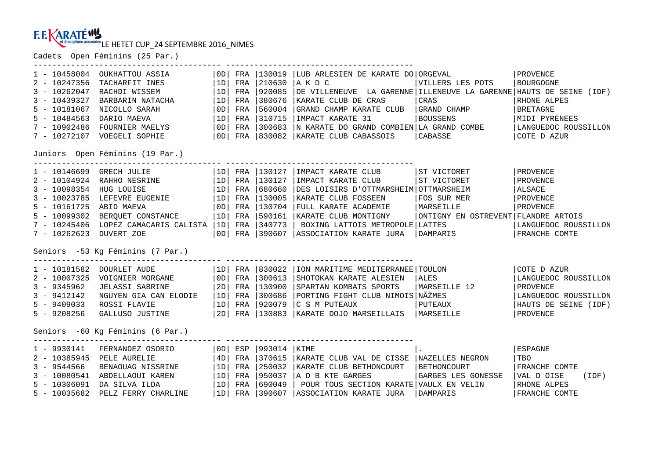Cadets Open Féminins (25 Par.)

| 1 - 10458004<br>OUKHATTOU ASSIA<br>$2 - 10247356$<br>TACHARFIT INES<br>$3 - 10262047$<br>RACHDI WISSEM<br>$3 - 10439327$<br>BARBARIN NATACHA<br>$5 - 10181067$<br>NICOLLO SARAH<br>$5 - 10484563$<br>DARIO MAEVA<br>$7 - 10902486$<br>FOURNIER MAELYS<br>7 - 10272107 VOEGELI SOPHIE<br>Juniors Open Féminins (19 Par.) | $\vert$ OD $\vert$<br>  1D<br> 1D <br> 1D <br> OD <br> 1D <br> OD             | FRA<br>FRA<br>FRA<br>FRA<br>FRA | FRA 130019<br> 210630<br>920085<br>380676<br>560004<br>310715<br>FRA 1300683<br>OD FRA 830082  | LUB ARLESIEN DE KARATE DO ORGEVAL<br> акрс<br>DE VILLENEUVE LA GARENNE LLLENEUVE LA GARENNE HAUTS DE SEINE (IDF)<br>KARATE CLUB DE CRAS<br>GRAND CHAMP KARATE CLUB<br>IMPACT KARATE 31<br>N KARATE DO GRAND COMBIEN LA GRAND COMBE<br>KARATE CLUB CABASSOIS | VILLERS LES POTS<br>CRAS<br>GRAND CHAMP<br><b>BOUSSENS</b><br>CABASSE                         | PROVENCE<br><b>BOURGOGNE</b><br>RHONE ALPES<br>BRETAGNE<br>MIDI PYRENEES<br>LANGUEDOC ROUSSILLON<br>COTE D AZUR    |
|-------------------------------------------------------------------------------------------------------------------------------------------------------------------------------------------------------------------------------------------------------------------------------------------------------------------------|-------------------------------------------------------------------------------|---------------------------------|------------------------------------------------------------------------------------------------|-------------------------------------------------------------------------------------------------------------------------------------------------------------------------------------------------------------------------------------------------------------|-----------------------------------------------------------------------------------------------|--------------------------------------------------------------------------------------------------------------------|
| 1 - 10146699<br>GRECH JULIE<br>2 - 10104924 RAHHO NESRINE   1D <br>3 - 10098354 HUG LOUISE   1D <br>3 - 10023785 LEFEVRE EUGENIE   1D <br>5 - 10161725 ABID MAEVA<br>BERQUET CONSTANCE  1D <br>$5 - 10099302$<br>7 - 10245406 LOPEZ CAMACARIS CALISTA   1D   FRA   340773<br>$7 - 10262623$<br>DUVERT ZOE               | 0D                                                                            |                                 | $ 1D $ FRA $ 130127$<br>FRA   130127<br>FRA 680660<br>FRA 130005<br>FRA 130704<br>FRA   590161 | IMPACT KARATE CLUB<br>IMPACT KARATE CLUB<br>DES LOISIRS D'OTTMARSHEIM OTTMARSHEIM<br>KARATE CLUB FOSSEEN<br>FULL KARATE ACADEMIE<br>KARATE CLUB MONTIGNY<br>BOXING LATTOIS METROPOLE LATTES<br>OD FRA 390607 ASSOCIATION KARATE JURA   DAMPARIS             | ST VICTORET<br>ST VICTORET<br>FOS SUR MER<br>MARSEILLE<br>ONTIGNY EN OSTREVENT FLANDRE ARTOIS | PROVENCE<br>PROVENCE<br>ALSACE<br>PROVENCE<br>PROVENCE<br>LANGUEDOC ROUSSILLON<br>FRANCHE COMTE                    |
| Seniors -53 Kg Féminins (7 Par.)<br>1 - 10181582 DOURLET AUDE<br>$2 - 10007325$<br>VOIGNIER MORGANE<br>$\vert$ 2D $\vert$<br>$3 - 9345962$<br>JELASSI SABRINE<br>NGUYEN GIA CAN ELODIE   1D<br>$3 - 9412142$<br>$5 - 9409033$<br>ROSSI FLAVIE<br>GALLUSO JUSTINE   2D   FRA   130883<br>$5 - 9208256$                   | OD <br> 1D                                                                    | FRA<br>FRA                      | $ 1D $ FRA $ 830022$<br>$ 300613\rangle$<br> 130900<br>FRA 300686<br>FRA 920079                | ION MARITIME MEDITERRANEE TOULON<br>SHOTOKAN KARATE ALESIEN<br>SPARTAN KOMBATS SPORTS<br>PORTING FIGHT CLUB NIMOIS NÃŽMES<br>C S M PUTEAUX<br>KARATE DOJO MARSEILLAIS   MARSEILLE                                                                           | ALES<br>MARSEILLE 12<br>PUTEAUX                                                               | COTE D AZUR<br>LANGUEDOC ROUSSILLON<br>PROVENCE<br>LANGUEDOC ROUSSILLON<br>HAUTS DE SEINE (IDF)<br><b>PROVENCE</b> |
| Seniors -60 Kq Féminins (6 Par.)<br>$1 - 9930141$<br>FERNANDEZ OSORIO<br>2 - 10385945 PELE AURELIE<br>$3 - 9544566$<br>BENAOUAG NISSRINE<br>$3 - 10080541$<br>ABDELLAOUI KAREN<br>$5 - 10306091$<br>DA SILVA ILDA<br>$5 - 10035682$<br>PELZ FERRY CHARLINE                                                              | OD <br>  4D<br> 1D <br> 1D <br> 1D <br>FRA   390607   ASSOCIATION KARATE JURA | FRA<br>FRA<br>FRA<br>FRA        | ESP 1993014 IKIME<br>370615<br>250032<br> 950037<br>690049                                     | KARATE CLUB VAL DE CISSE   NAZELLES NEGRON<br>KARATE CLUB BETHONCOURT<br>A D B KTE GARGES<br>POUR TOUS SECTION KARATE VAULX EN VELIN                                                                                                                        | <b>BETHONCOURT</b><br>GARGES LES GONESSE                                                      | ESPAGNE<br>TBO<br>FRANCHE COMTE<br>VAL D OISE<br>(IDF)<br>RHONE ALPES                                              |